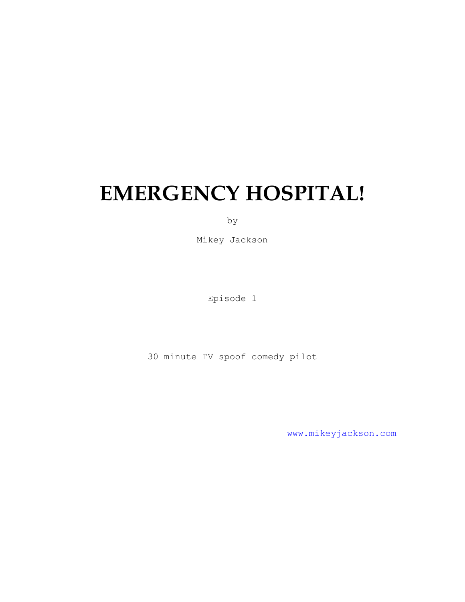# **EMERGENCY HOSPITAL!**

by

Mikey Jackson

Episode 1

30 minute TV spoof comedy pilot

[www.mikeyjackson.com](http://www.mikeyjackson.com/)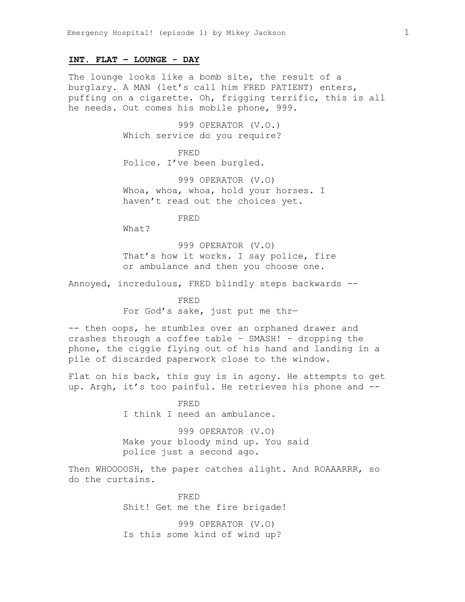## **INT. FLAT – LOUNGE - DAY**

The lounge looks like a bomb site, the result of a burglary. A MAN (let's call him FRED PATIENT) enters, puffing on a cigarette. Oh, frigging terrific, this is all he needs. Out comes his mobile phone, 999.

> 999 OPERATOR (V.O.) Which service do you require?

FRED Police. I've been burgled.

999 OPERATOR (V.O) Whoa, whoa, whoa, hold your horses. I haven't read out the choices yet.

FRED

What?

999 OPERATOR (V.O) That's how it works. I say police, fire or ambulance and then you choose one.

Annoyed, incredulous, FRED blindly steps backwards --

FRED For God's sake, just put me thr—

-- then oops, he stumbles over an orphaned drawer and crashes through a coffee table – SMASH! – dropping the phone, the ciggie flying out of his hand and landing in a pile of discarded paperwork close to the window.

Flat on his back, this guy is in agony. He attempts to get up. Argh, it's too painful. He retrieves his phone and --

> FRED I think I need an ambulance.

999 OPERATOR (V.O) Make your bloody mind up. You said police just a second ago.

Then WHOOOOSH, the paper catches alight. And ROAAARRR, so do the curtains.

> FRED Shit! Get me the fire brigade!

999 OPERATOR (V.O) Is this some kind of wind up?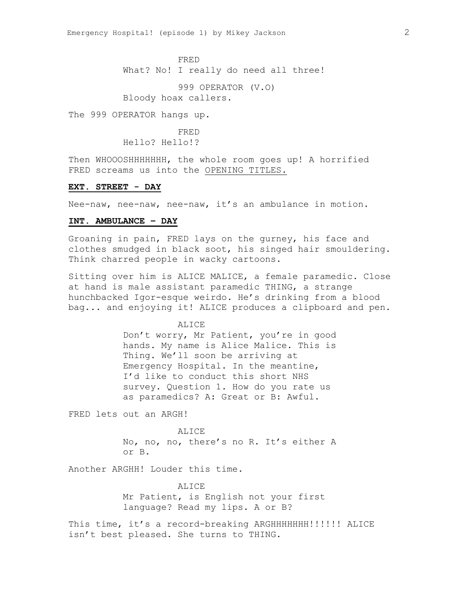FRED What? No! I really do need all three!

999 OPERATOR (V.O) Bloody hoax callers.

The 999 OPERATOR hangs up.

FRED Hello? Hello!?

Then WHOOOSHHHHHHH, the whole room goes up! A horrified FRED screams us into the OPENING TITLES.

## **EXT. STREET - DAY**

Nee-naw, nee-naw, nee-naw, it's an ambulance in motion.

## **INT. AMBULANCE – DAY**

Groaning in pain, FRED lays on the gurney, his face and clothes smudged in black soot, his singed hair smouldering. Think charred people in wacky cartoons.

Sitting over him is ALICE MALICE, a female paramedic. Close at hand is male assistant paramedic THING, a strange hunchbacked Igor-esque weirdo. He's drinking from a blood bag... and enjoying it! ALICE produces a clipboard and pen.

ALICE

Don't worry, Mr Patient, you're in good hands. My name is Alice Malice. This is Thing. We'll soon be arriving at Emergency Hospital. In the meantine, I'd like to conduct this short NHS survey. Question 1. How do you rate us as paramedics? A: Great or B: Awful.

FRED lets out an ARGH!

#### ALICE

No, no, no, there's no R. It's either A or B.

Another ARGHH! Louder this time.

ALICE Mr Patient, is English not your first language? Read my lips. A or B?

This time, it's a record-breaking ARGHHHHHHH!!!!!! ALICE isn't best pleased. She turns to THING.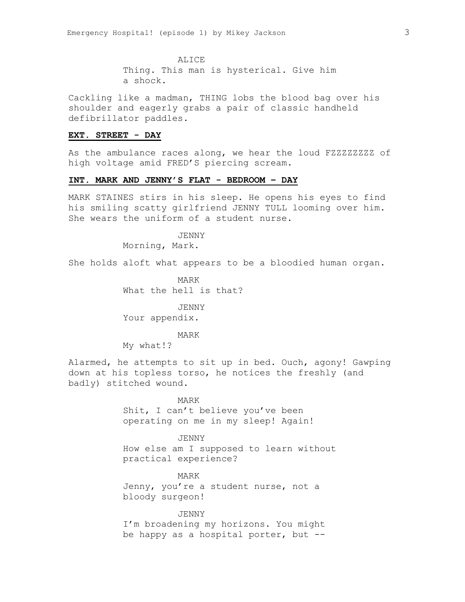ALICE Thing. This man is hysterical. Give him a shock.

Cackling like a madman, THING lobs the blood bag over his shoulder and eagerly grabs a pair of classic handheld defibrillator paddles.

#### **EXT. STREET - DAY**

As the ambulance races along, we hear the loud FZZZZZZZZ of high voltage amid FRED'S piercing scream.

## **INT. MARK AND JENNY'S FLAT - BEDROOM – DAY**

MARK STAINES stirs in his sleep. He opens his eyes to find his smiling scatty girlfriend JENNY TULL looming over him. She wears the uniform of a student nurse.

> JENNY Morning, Mark.

She holds aloft what appears to be a bloodied human organ.

MARK What the hell is that?

JENNY Your appendix.

#### MARK

My what!?

Alarmed, he attempts to sit up in bed. Ouch, agony! Gawping down at his topless torso, he notices the freshly (and badly) stitched wound.

> MARK Shit, I can't believe you've been

operating on me in my sleep! Again!

## JENNY

How else am I supposed to learn without practical experience?

MARK

Jenny, you're a student nurse, not a bloody surgeon!

#### JENNY

I'm broadening my horizons. You might be happy as a hospital porter, but --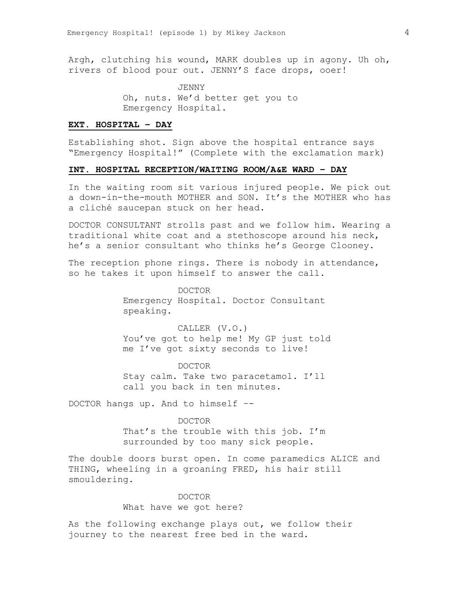Argh, clutching his wound, MARK doubles up in agony. Uh oh, rivers of blood pour out. JENNY'S face drops, ooer!

> JENNY Oh, nuts. We'd better get you to Emergency Hospital.

## **EXT. HOSPITAL – DAY**

Establishing shot. Sign above the hospital entrance says "Emergency Hospital!" (Complete with the exclamation mark)

## **INT. HOSPITAL RECEPTION/WAITING ROOM/A&E WARD – DAY**

In the waiting room sit various injured people. We pick out a down-in-the-mouth MOTHER and SON. It's the MOTHER who has a cliché saucepan stuck on her head.

DOCTOR CONSULTANT strolls past and we follow him. Wearing a traditional white coat and a stethoscope around his neck, he's a senior consultant who thinks he's George Clooney.

The reception phone rings. There is nobody in attendance, so he takes it upon himself to answer the call.

> DOCTOR Emergency Hospital. Doctor Consultant speaking.

CALLER (V.O.) You've got to help me! My GP just told me I've got sixty seconds to live!

DOCTOR Stay calm. Take two paracetamol. I'll call you back in ten minutes.

DOCTOR hangs up. And to himself –-

#### DOCTOR

That's the trouble with this job. I'm surrounded by too many sick people.

The double doors burst open. In come paramedics ALICE and THING, wheeling in a groaning FRED, his hair still smouldering.

# DOCTOR What have we got here?

As the following exchange plays out, we follow their journey to the nearest free bed in the ward.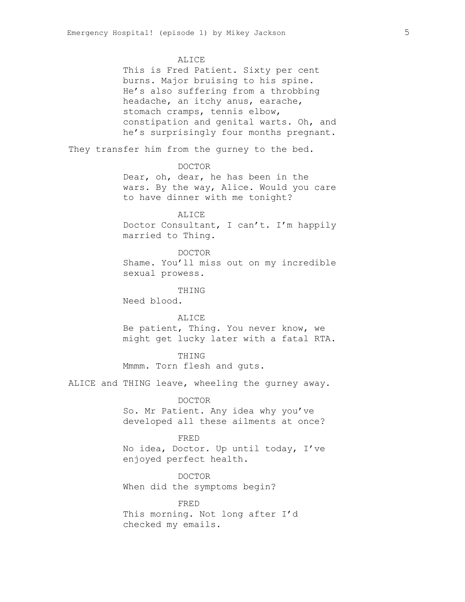#### ALICE

This is Fred Patient. Sixty per cent burns. Major bruising to his spine. He's also suffering from a throbbing headache, an itchy anus, earache, stomach cramps, tennis elbow, constipation and genital warts. Oh, and he's surprisingly four months pregnant.

They transfer him from the gurney to the bed.

## DOCTOR

Dear, oh, dear, he has been in the wars. By the way, Alice. Would you care to have dinner with me tonight?

# ALICE

Doctor Consultant, I can't. I'm happily married to Thing.

#### DOCTOR

Shame. You'll miss out on my incredible sexual prowess.

THING

Need blood.

# ALICE Be patient, Thing. You never know, we might get lucky later with a fatal RTA.

#### THING

Mmmm. Torn flesh and guts.

ALICE and THING leave, wheeling the gurney away.

#### DOCTOR

So. Mr Patient. Any idea why you've developed all these ailments at once?

## FRED

No idea, Doctor. Up until today, I've enjoyed perfect health.

DOCTOR When did the symptoms begin?

FRED This morning. Not long after I'd checked my emails.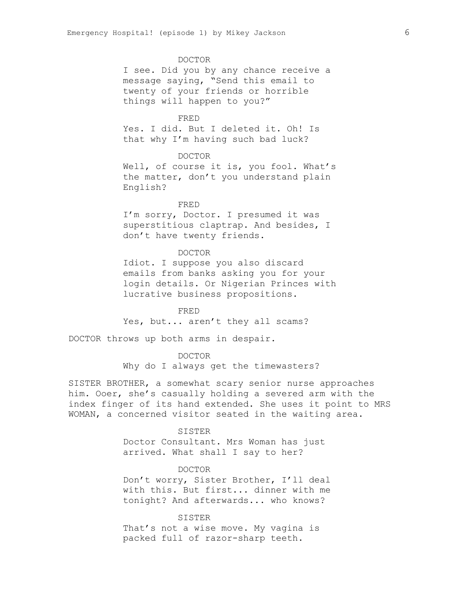#### DOCTOR

I see. Did you by any chance receive a message saying, "Send this email to twenty of your friends or horrible things will happen to you?"

## FRED

Yes. I did. But I deleted it. Oh! Is that why I'm having such bad luck?

#### DOCTOR

Well, of course it is, you fool. What's the matter, don't you understand plain English?

## FRED

I'm sorry, Doctor. I presumed it was superstitious claptrap. And besides, I don't have twenty friends.

## DOCTOR

Idiot. I suppose you also discard emails from banks asking you for your login details. Or Nigerian Princes with lucrative business propositions.

FRED Yes, but... aren't they all scams?

DOCTOR throws up both arms in despair.

#### DOCTOR

Why do I always get the timewasters?

SISTER BROTHER, a somewhat scary senior nurse approaches him. Ooer, she's casually holding a severed arm with the index finger of its hand extended. She uses it point to MRS WOMAN, a concerned visitor seated in the waiting area.

#### SISTER

Doctor Consultant. Mrs Woman has just arrived. What shall I say to her?

## DOCTOR

Don't worry, Sister Brother, I'll deal with this. But first... dinner with me tonight? And afterwards... who knows?

SISTER

That's not a wise move. My vagina is packed full of razor-sharp teeth.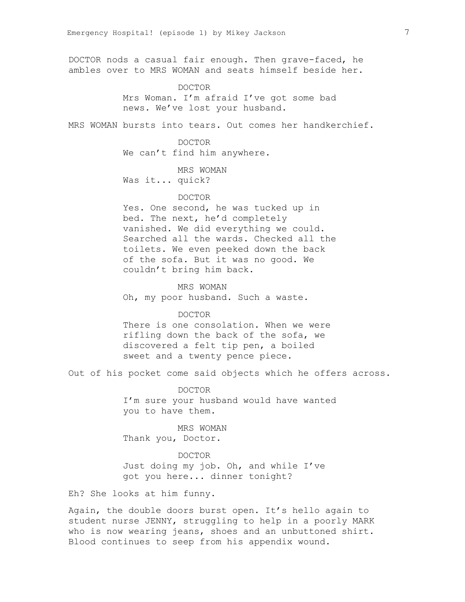DOCTOR nods a casual fair enough. Then grave-faced, he ambles over to MRS WOMAN and seats himself beside her.

## DOCTOR

Mrs Woman. I'm afraid I've got some bad news. We've lost your husband.

MRS WOMAN bursts into tears. Out comes her handkerchief.

DOCTOR We can't find him anywhere.

MRS WOMAN Was it... quick?

## DOCTOR

Yes. One second, he was tucked up in bed. The next, he'd completely vanished. We did everything we could. Searched all the wards. Checked all the toilets. We even peeked down the back of the sofa. But it was no good. We couldn't bring him back.

MRS WOMAN Oh, my poor husband. Such a waste.

#### DOCTOR

There is one consolation. When we were rifling down the back of the sofa, we discovered a felt tip pen, a boiled sweet and a twenty pence piece.

Out of his pocket come said objects which he offers across.

DOCTOR I'm sure your husband would have wanted you to have them.

MRS WOMAN Thank you, Doctor.

DOCTOR Just doing my job. Oh, and while I've got you here... dinner tonight?

Eh? She looks at him funny.

Again, the double doors burst open. It's hello again to student nurse JENNY, struggling to help in a poorly MARK who is now wearing jeans, shoes and an unbuttoned shirt. Blood continues to seep from his appendix wound.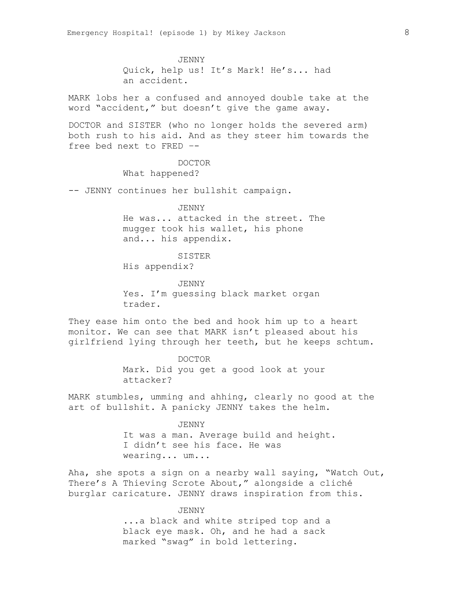JENNY Quick, help us! It's Mark! He's... had an accident.

MARK lobs her a confused and annoyed double take at the word "accident," but doesn't give the game away.

DOCTOR and SISTER (who no longer holds the severed arm) both rush to his aid. And as they steer him towards the free bed next to FRED –-

> DOCTOR What happened?

-- JENNY continues her bullshit campaign.

JENNY

He was... attacked in the street. The mugger took his wallet, his phone and... his appendix.

SISTER

His appendix?

JENNY Yes. I'm quessing black market organ trader.

They ease him onto the bed and hook him up to a heart monitor. We can see that MARK isn't pleased about his girlfriend lying through her teeth, but he keeps schtum.

> DOCTOR Mark. Did you get a good look at your attacker?

MARK stumbles, umming and ahhing, clearly no good at the art of bullshit. A panicky JENNY takes the helm.

> JENNY It was a man. Average build and height. I didn't see his face. He was wearing... um...

Aha, she spots a sign on a nearby wall saying, "Watch Out, There's A Thieving Scrote About," alongside a cliché burglar caricature. JENNY draws inspiration from this.

JENNY

...a black and white striped top and a black eye mask. Oh, and he had a sack marked "swag" in bold lettering.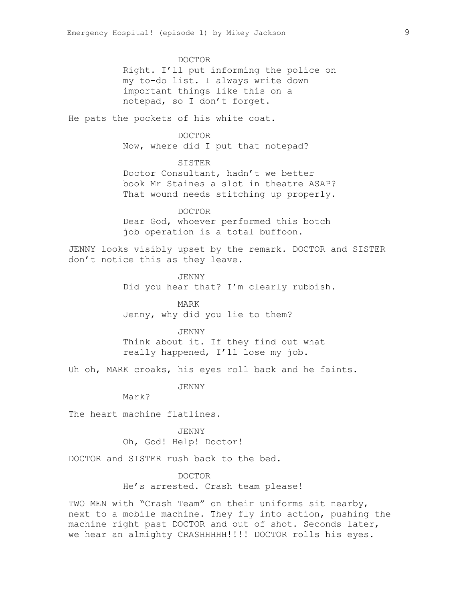DOCTOR Right. I'll put informing the police on my to-do list. I always write down important things like this on a notepad, so I don't forget.

He pats the pockets of his white coat.

DOCTOR Now, where did I put that notepad?

# SISTER

Doctor Consultant, hadn't we better book Mr Staines a slot in theatre ASAP? That wound needs stitching up properly.

DOCTOR Dear God, whoever performed this botch job operation is a total buffoon.

JENNY looks visibly upset by the remark. DOCTOR and SISTER don't notice this as they leave.

> JENNY Did you hear that? I'm clearly rubbish.

MARK Jenny, why did you lie to them?

#### JENNY

Think about it. If they find out what really happened, I'll lose my job.

Uh oh, MARK croaks, his eyes roll back and he faints.

JENNY

Mark?

The heart machine flatlines.

JENNY Oh, God! Help! Doctor!

DOCTOR and SISTER rush back to the bed.

#### DOCTOR

He's arrested. Crash team please!

TWO MEN with "Crash Team" on their uniforms sit nearby, next to a mobile machine. They fly into action, pushing the machine right past DOCTOR and out of shot. Seconds later, we hear an almighty CRASHHHHH!!!! DOCTOR rolls his eyes.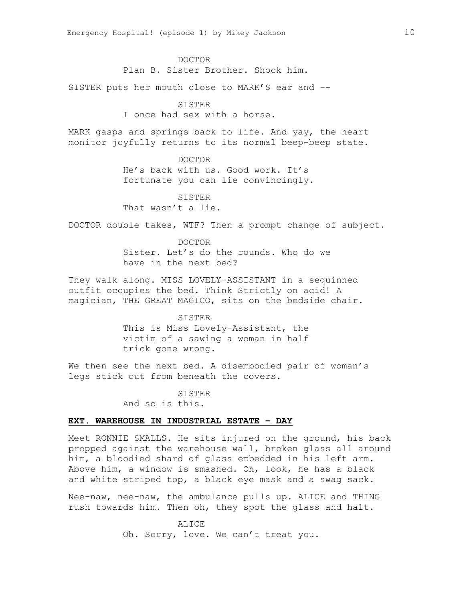DOCTOR

Plan B. Sister Brother. Shock him.

SISTER puts her mouth close to MARK'S ear and –-

## SISTER

I once had sex with a horse.

MARK gasps and springs back to life. And yay, the heart monitor joyfully returns to its normal beep-beep state.

DOCTOR

He's back with us. Good work. It's fortunate you can lie convincingly.

SISTER

That wasn't a lie.

DOCTOR double takes, WTF? Then a prompt change of subject.

DOCTOR Sister. Let's do the rounds. Who do we have in the next bed?

They walk along. MISS LOVELY-ASSISTANT in a sequinned outfit occupies the bed. Think Strictly on acid! A magician, THE GREAT MAGICO, sits on the bedside chair.

> SISTER This is Miss Lovely-Assistant, the victim of a sawing a woman in half trick gone wrong.

We then see the next bed. A disembodied pair of woman's legs stick out from beneath the covers.

> SISTER And so is this.

## **EXT. WAREHOUSE IN INDUSTRIAL ESTATE – DAY**

Meet RONNIE SMALLS. He sits injured on the ground, his back propped against the warehouse wall, broken glass all around him, a bloodied shard of glass embedded in his left arm. Above him, a window is smashed. Oh, look, he has a black and white striped top, a black eye mask and a swag sack.

Nee-naw, nee-naw, the ambulance pulls up. ALICE and THING rush towards him. Then oh, they spot the glass and halt.

> ALICE Oh. Sorry, love. We can't treat you.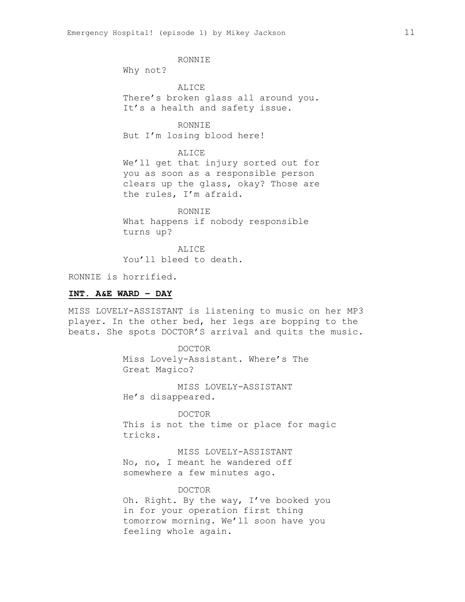RONNIE

Why not?

ALICE There's broken glass all around you. It's a health and safety issue.

RONNIE But I'm losing blood here!

ALICE We'll get that injury sorted out for you as soon as a responsible person clears up the glass, okay? Those are the rules, I'm afraid.

RONNIE What happens if nobody responsible turns up?

ALICE You'll bleed to death.

RONNIE is horrified.

## **INT. A&E WARD – DAY**

MISS LOVELY-ASSISTANT is listening to music on her MP3 player. In the other bed, her legs are bopping to the beats. She spots DOCTOR'S arrival and quits the music.

> DOCTOR Miss Lovely-Assistant. Where's The Great Magico?

MISS LOVELY-ASSISTANT He's disappeared.

DOCTOR This is not the time or place for magic tricks.

MISS LOVELY-ASSISTANT No, no, I meant he wandered off somewhere a few minutes ago.

#### DOCTOR

Oh. Right. By the way, I've booked you in for your operation first thing tomorrow morning. We'll soon have you feeling whole again.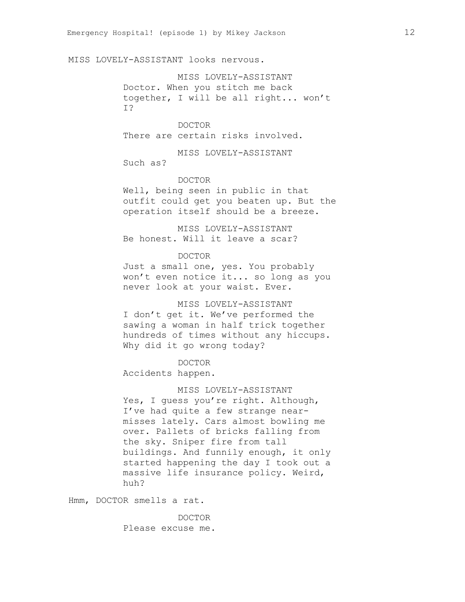MISS LOVELY-ASSISTANT looks nervous.

MISS LOVELY-ASSISTANT Doctor. When you stitch me back together, I will be all right... won't I?

DOCTOR There are certain risks involved.

MISS LOVELY-ASSISTANT Such as?

## DOCTOR

Well, being seen in public in that outfit could get you beaten up. But the operation itself should be a breeze.

MISS LOVELY-ASSISTANT Be honest. Will it leave a scar?

DOCTOR

Just a small one, yes. You probably won't even notice it... so long as you never look at your waist. Ever.

MISS LOVELY-ASSISTANT I don't get it. We've performed the sawing a woman in half trick together hundreds of times without any hiccups. Why did it go wrong today?

DOCTOR

Accidents happen.

MISS LOVELY-ASSISTANT Yes, I quess you're right. Although, I've had quite a few strange nearmisses lately. Cars almost bowling me over. Pallets of bricks falling from the sky. Sniper fire from tall buildings. And funnily enough, it only started happening the day I took out a massive life insurance policy. Weird, huh?

Hmm, DOCTOR smells a rat.

DOCTOR Please excuse me.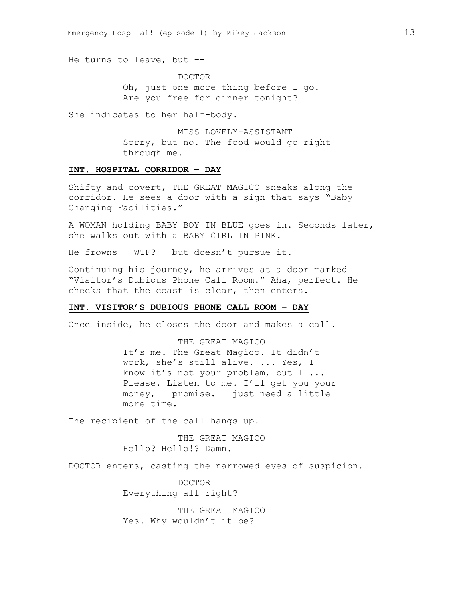He turns to leave, but –-

DOCTOR Oh, just one more thing before I go. Are you free for dinner tonight?

She indicates to her half-body.

MISS LOVELY-ASSISTANT Sorry, but no. The food would go right through me.

## **INT. HOSPITAL CORRIDOR – DAY**

Shifty and covert, THE GREAT MAGICO sneaks along the corridor. He sees a door with a sign that says "Baby Changing Facilities."

A WOMAN holding BABY BOY IN BLUE goes in. Seconds later, she walks out with a BABY GIRL IN PINK.

He frowns – WTF? – but doesn't pursue it.

Continuing his journey, he arrives at a door marked "Visitor's Dubious Phone Call Room." Aha, perfect. He checks that the coast is clear, then enters.

## **INT. VISITOR'S DUBIOUS PHONE CALL ROOM – DAY**

Once inside, he closes the door and makes a call.

THE GREAT MAGICO It's me. The Great Magico. It didn't work, she's still alive. ... Yes, I know it's not your problem, but I ... Please. Listen to me. I'll get you your money, I promise. I just need a little more time.

The recipient of the call hangs up.

THE GREAT MAGICO Hello? Hello!? Damn.

DOCTOR enters, casting the narrowed eyes of suspicion.

DOCTOR Everything all right?

THE GREAT MAGICO Yes. Why wouldn't it be?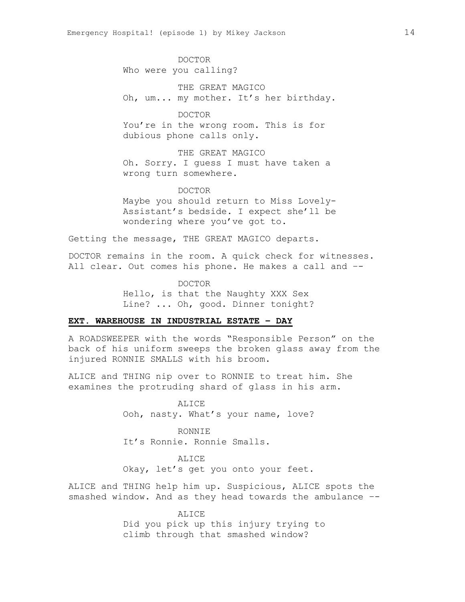DOCTOR Who were you calling?

THE GREAT MAGICO Oh, um... my mother. It's her birthday.

DOCTOR You're in the wrong room. This is for dubious phone calls only.

THE GREAT MAGICO Oh. Sorry. I guess I must have taken a wrong turn somewhere.

DOCTOR Maybe you should return to Miss Lovely-Assistant's bedside. I expect she'll be wondering where you've got to.

Getting the message, THE GREAT MAGICO departs.

DOCTOR remains in the room. A quick check for witnesses. All clear. Out comes his phone. He makes a call and –-

> DOCTOR Hello, is that the Naughty XXX Sex Line? ... Oh, good. Dinner tonight?

## **EXT. WAREHOUSE IN INDUSTRIAL ESTATE – DAY**

A ROADSWEEPER with the words "Responsible Person" on the back of his uniform sweeps the broken glass away from the injured RONNIE SMALLS with his broom.

ALICE and THING nip over to RONNIE to treat him. She examines the protruding shard of glass in his arm.

> **ALICE** Ooh, nasty. What's your name, love?

RONNIE It's Ronnie. Ronnie Smalls.

ALICE Okay, let's get you onto your feet.

ALICE and THING help him up. Suspicious, ALICE spots the smashed window. And as they head towards the ambulance –-

> ALICE Did you pick up this injury trying to climb through that smashed window?